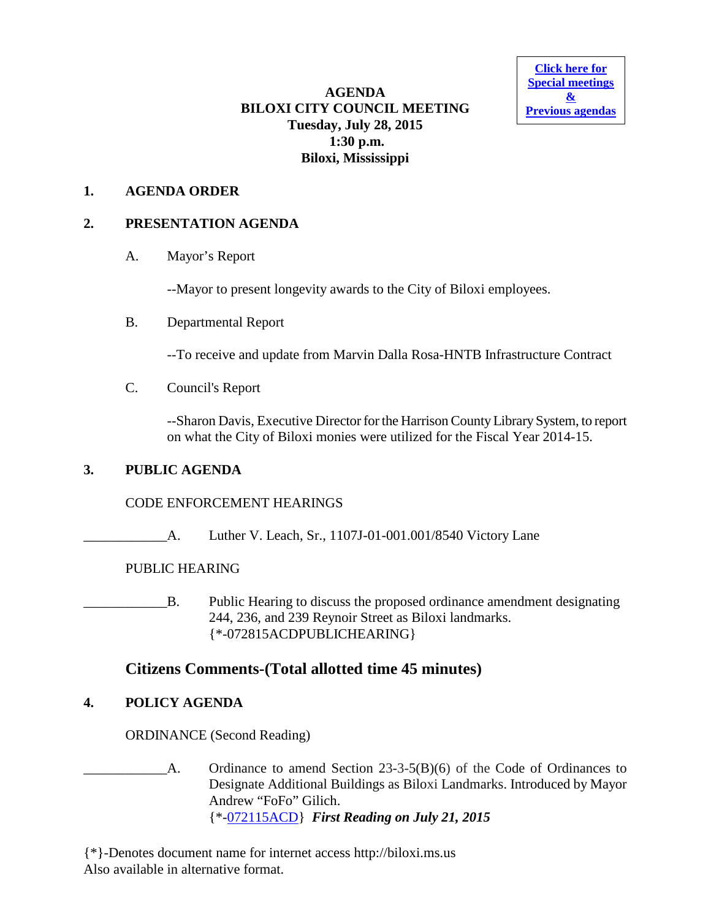**[Click here for](http://www.biloxi.ms.us/category/agendas-city-council/) [Special meetings](http://www.biloxi.ms.us/category/agendas-city-council/) [&](http://www.biloxi.ms.us/category/agendas-city-council/) [Previous agendas](http://www.biloxi.ms.us/category/agendas-city-council/)**

### **AGENDA BILOXI CITY COUNCIL MEETING Tuesday, July 28, 2015 1:30 p.m. Biloxi, Mississippi**

### **1. AGENDA ORDER**

### **2. PRESENTATION AGENDA**

A. Mayor's Report

--Mayor to present longevity awards to the City of Biloxi employees.

B. Departmental Report

--To receive and update from Marvin Dalla Rosa-HNTB Infrastructure Contract

C. Council's Report

--Sharon Davis, Executive Director for the Harrison County Library System, to report on what the City of Biloxi monies were utilized for the Fiscal Year 2014-15.

### **3. PUBLIC AGENDA**

## CODE ENFORCEMENT HEARINGS

A. Luther V. Leach, Sr., 1107J-01-001.001/8540 Victory Lane

## PUBLIC HEARING

\_\_\_\_\_\_\_\_\_\_\_\_B. Public Hearing to discuss the proposed ordinance amendment designating 244, 236, and 239 Reynoir Street as Biloxi landmarks. {\*-072815ACDPUBLICHEARING}

# **Citizens Comments-(Total allotted time 45 minutes)**

## **4. POLICY AGENDA**

ORDINANCE (Second Reading)

A. Ordinance to amend Section 23-3-5(B)(6) of the Code of Ordinances to Designate Additional Buildings as Biloxi Landmarks. Introduced by Mayor Andrew "FoFo" Gilich. {\*[-072115ACD}](http://www.biloxi.ms.us/agendas/citycouncil/2015/072815/072115acd.pdf) *First Reading on July 21, 2015*

{\*}-Denotes document name for internet access http://biloxi.ms.us Also available in alternative format.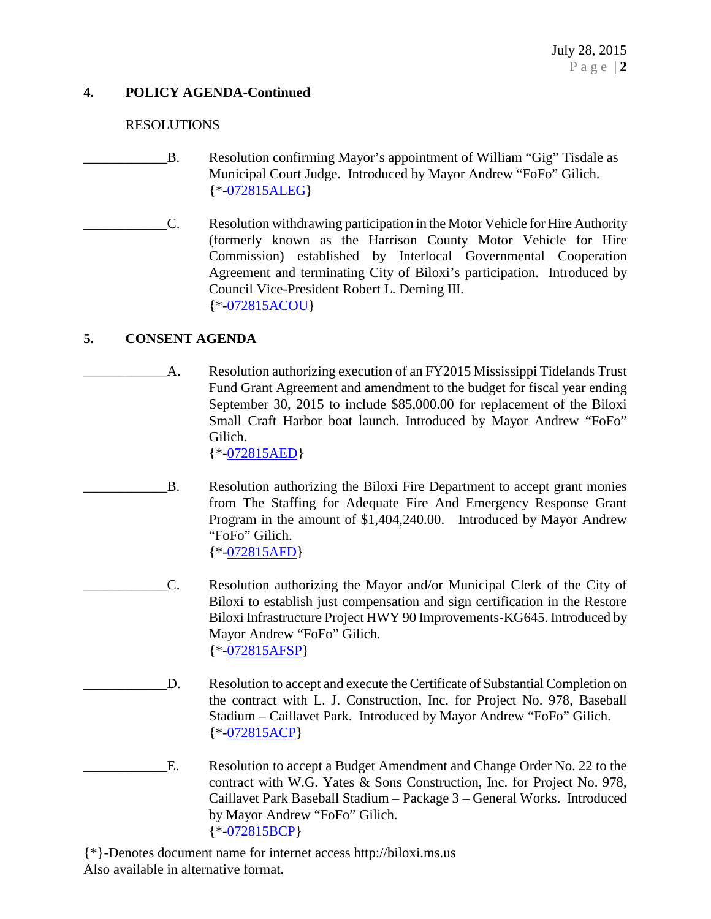### **4. POLICY AGENDA-Continued**

#### RESOLUTIONS

- B. Resolution confirming Mayor's appointment of William "Gig" Tisdale as Municipal Court Judge. Introduced by Mayor Andrew "FoFo" Gilich. {\*[-072815ALEG}](http://www.biloxi.ms.us/agendas/citycouncil/2015/072815/072815aleg.pdf)
- \_\_\_\_\_\_\_\_\_\_\_\_C. Resolution withdrawing participation in the Motor Vehicle for Hire Authority (formerly known as the Harrison County Motor Vehicle for Hire Commission) established by Interlocal Governmental Cooperation Agreement and terminating City of Biloxi's participation. Introduced by Council Vice-President Robert L. Deming III. {\*[-072815ACOU}](http://www.biloxi.ms.us/agendas/citycouncil/2015/072815/072815acou.pdf)

#### **5. CONSENT AGENDA**

A. Resolution authorizing execution of an FY2015 Mississippi Tidelands Trust Fund Grant Agreement and amendment to the budget for fiscal year ending September 30, 2015 to include \$85,000.00 for replacement of the Biloxi Small Craft Harbor boat launch. Introduced by Mayor Andrew "FoFo" Gilich.

{\*[-072815AED}](http://www.biloxi.ms.us/agendas/citycouncil/2015/072815/072815aed.pdf)

- B. Resolution authorizing the Biloxi Fire Department to accept grant monies from The Staffing for Adequate Fire And Emergency Response Grant Program in the amount of \$1,404,240.00. Introduced by Mayor Andrew "FoFo" Gilich. {\*[-072815AFD}](http://www.biloxi.ms.us/agendas/citycouncil/2015/072815/072815afd.pdf)
- \_\_\_\_\_\_\_\_\_\_\_\_C. Resolution authorizing the Mayor and/or Municipal Clerk of the City of Biloxi to establish just compensation and sign certification in the Restore Biloxi Infrastructure Project HWY 90 Improvements-KG645. Introduced by Mayor Andrew "FoFo" Gilich. {\*[-072815AFSP}](http://www.biloxi.ms.us/agendas/citycouncil/2015/072815/072815afsp.pdf)
	- D. Resolution to accept and execute the Certificate of Substantial Completion on the contract with L. J. Construction, Inc. for Project No. 978, Baseball Stadium – Caillavet Park. Introduced by Mayor Andrew "FoFo" Gilich. {\*[-072815ACP}](http://www.biloxi.ms.us/agendas/citycouncil/2015/072815/072815acp.pdf)
- E. Resolution to accept a Budget Amendment and Change Order No. 22 to the contract with W.G. Yates & Sons Construction, Inc. for Project No. 978, Caillavet Park Baseball Stadium – Package 3 – General Works. Introduced by Mayor Andrew "FoFo" Gilich. {\*[-072815BCP}](http://www.biloxi.ms.us/agendas/citycouncil/2015/072815/072815bcp.pdf)

{\*}-Denotes document name for internet access http://biloxi.ms.us Also available in alternative format.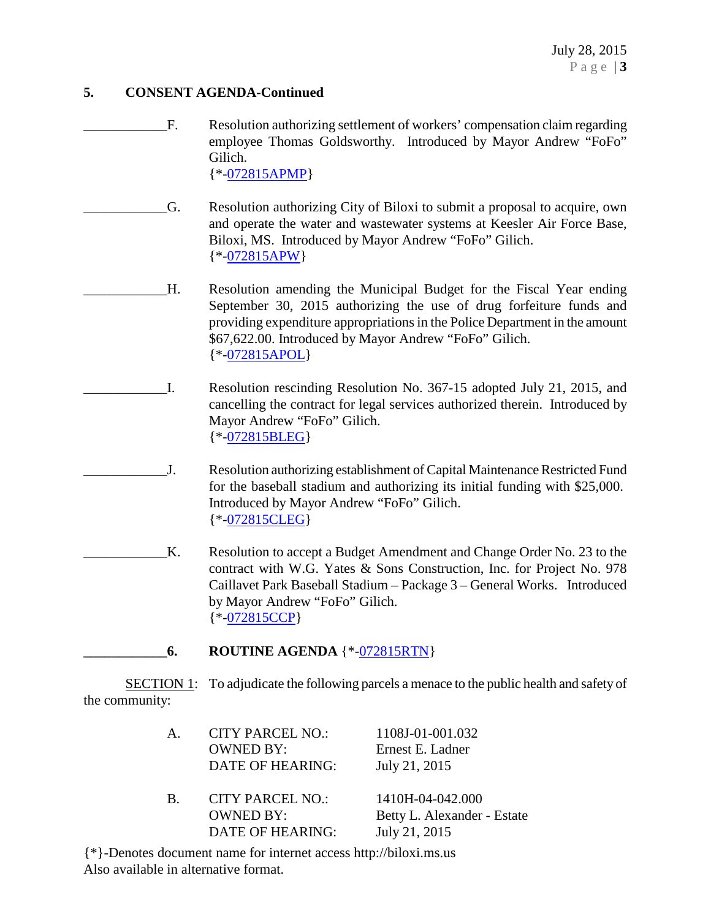#### **5. CONSENT AGENDA-Continued**

F. Resolution authorizing settlement of workers' compensation claim regarding employee Thomas Goldsworthy. Introduced by Mayor Andrew "FoFo" Gilich.

{\*[-072815APMP}](http://www.biloxi.ms.us/agendas/citycouncil/2015/072815/072815apmp.pdf)

- \_\_\_\_\_\_\_\_\_\_\_\_G. Resolution authorizing City of Biloxi to submit a proposal to acquire, own and operate the water and wastewater systems at Keesler Air Force Base, Biloxi, MS. Introduced by Mayor Andrew "FoFo" Gilich. {\*[-072815APW}](http://www.biloxi.ms.us/agendas/citycouncil/2015/072815/072815apw.pdf)
- \_\_\_\_\_\_\_\_\_\_\_\_H. Resolution amending the Municipal Budget for the Fiscal Year ending September 30, 2015 authorizing the use of drug forfeiture funds and providing expenditure appropriations in the Police Department in the amount \$67,622.00. Introduced by Mayor Andrew "FoFo" Gilich. {\*[-072815APOL}](http://www.biloxi.ms.us/agendas/citycouncil/2015/072815/072815apol.pdf)
- \_\_\_\_\_\_\_\_\_\_\_\_I. Resolution rescinding Resolution No. 367-15 adopted July 21, 2015, and cancelling the contract for legal services authorized therein. Introduced by Mayor Andrew "FoFo" Gilich. {\*[-072815BLEG}](http://www.biloxi.ms.us/agendas/citycouncil/2015/072815/072815bleg.pdf)
	- J. Resolution authorizing establishment of Capital Maintenance Restricted Fund for the baseball stadium and authorizing its initial funding with \$25,000. Introduced by Mayor Andrew "FoFo" Gilich. {\*[-072815CLEG}](http://www.biloxi.ms.us/agendas/citycouncil/2015/072815/072815cleg.pdf)
- \_\_\_\_\_\_\_\_\_\_\_\_K. Resolution to accept a Budget Amendment and Change Order No. 23 to the contract with W.G. Yates & Sons Construction, Inc. for Project No. 978 Caillavet Park Baseball Stadium – Package 3 – General Works. Introduced by Mayor Andrew "FoFo" Gilich. {\*[-072815CCP}](http://www.biloxi.ms.us/agendas/citycouncil/2015/072815/072815ccp.pdf)

**\_\_\_\_\_\_\_\_\_\_\_\_6. ROUTINE AGENDA** {\*[-072815RTN}](http://www.biloxi.ms.us/agendas/citycouncil/2015/072815/072815rtn.pdf)

SECTION 1: To adjudicate the following parcels a menace to the public health and safety of the community:

| $A_{\cdot}$ | <b>CITY PARCEL NO.:</b><br><b>OWNED BY:</b><br>DATE OF HEARING: | 1108J-01-001.032<br>Ernest E. Ladner<br>July 21, 2015            |
|-------------|-----------------------------------------------------------------|------------------------------------------------------------------|
| B.          | <b>CITY PARCEL NO.:</b><br><b>OWNED BY:</b><br>DATE OF HEARING: | 1410H-04-042.000<br>Betty L. Alexander - Estate<br>July 21, 2015 |
|             |                                                                 |                                                                  |

{\*}-Denotes document name for internet access http://biloxi.ms.us Also available in alternative format.